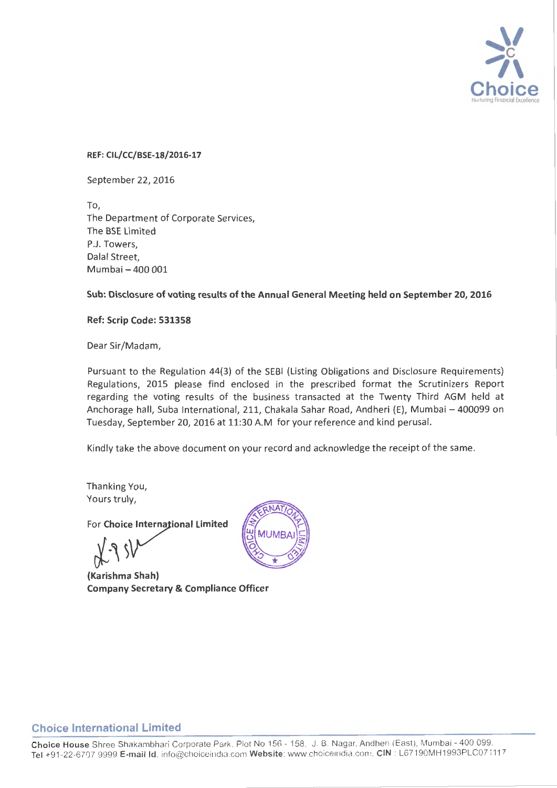

REF: CIL/CC/BSE-18/2016-17

September 22, 2016

To, The Department of Corporate Services, The BSE Limited P.J. Towers, Dalal Street, Mumbai -400 001

Sub: Disclosure of voting results of the Annual General Meeting held on September 20, 2016

Ref: Scrip Code: 531358

Dear Sir/Madam,

Pursuant to the Regulation 44{3) of the SEBI (Listing Obligations and Disclosure Requirements) Regulations, 2015 please find enclosed in the prescribed format the Scrutinizers Report regarding the voting results of the business transacted at the Twenty Third AGM held at Anchorage hall, Suba International, 211, Chakala Sahar Road, Andheri (E), Mumbai - 400099 on Tuesday, September 20, 2016 at 11:30 A.M for your reference and kind perusal.

Kindly take the above document on your record and acknowledge the receipt of the same.

Thanking You, Yours truly,

For Choice International Limited

(Karishma Shah) Company Secretary & Compliance Officer



### Choice International Limited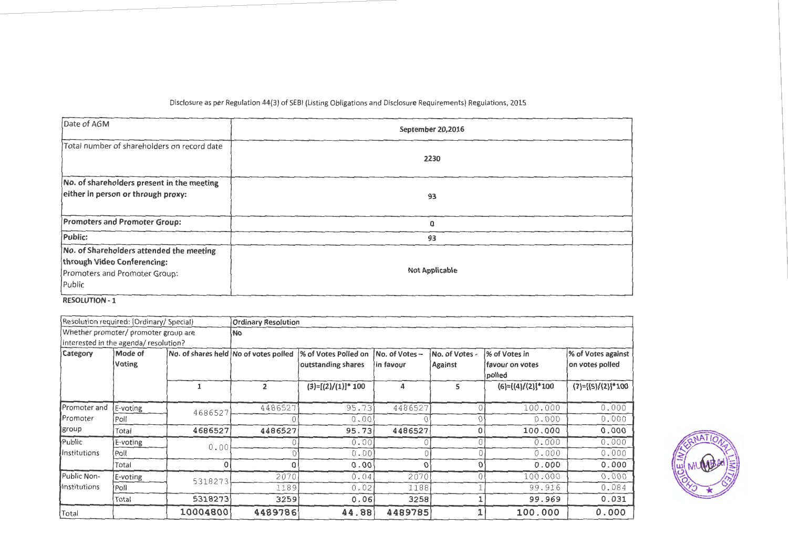### Disclosure as per Regulation 44(3) of SEBI (Listing Obligations and Disclosure Requirements) Regulations, 2015

| Date of AGM                                                                                                        | September 20,2016     |
|--------------------------------------------------------------------------------------------------------------------|-----------------------|
| Total number of shareholders on record date                                                                        | 2230                  |
| No. of shareholders present in the meeting<br>either in person or through proxy:                                   | 93                    |
| <b>Promoters and Promoter Group:</b>                                                                               | 0                     |
| Public:                                                                                                            | 93                    |
| No. of Shareholders attended the meeting<br>through Video Conferencing:<br>Promoters and Promoter Group:<br>Public | <b>Not Applicable</b> |
| <b>RESOLUTION - 1</b>                                                                                              |                       |

|                     | Resolution required: (Ordinary/ Special) |          | <b>Ordinary Resolution</b>            |                       |               |                |                     |                     |
|---------------------|------------------------------------------|----------|---------------------------------------|-----------------------|---------------|----------------|---------------------|---------------------|
|                     | Whether promoter/ promoter group are     |          | No                                    |                       |               |                |                     |                     |
|                     | interested in the agenda/ resolution?    |          |                                       |                       |               |                |                     |                     |
| Category            | Mode of                                  |          | No. of shares held No of votes polled | % of Votes Polled on  | No. of Votes- | No. of Votes - | % of Votes in       | % of Votes against  |
|                     | Voting                                   |          |                                       | outstanding shares    | in favour     | <b>Against</b> | favour on votes     | on votes polled     |
|                     |                                          |          |                                       |                       |               |                | polled              |                     |
|                     |                                          |          | $\overline{2}$                        | $(3)=[(2)/(1)]^* 100$ | 4             | 5              | $(6)=[(4)/(2)]*100$ | $(7)=[(5)/(2)]*100$ |
| Promoter and        | E-voting                                 | 4686527  | 4486527                               | 95.73                 | 4486527       |                | 100.000             | 0.000               |
| Promoter            | Poll                                     |          |                                       | 0.00                  |               |                | 0.000               | 0.000               |
| group               | Total                                    | 4686527  | 4486527                               | 95.73                 | 4486527       |                | 100.000             | 0.000               |
| Public              | E-voting                                 | 0.00     |                                       | 0.00                  |               |                | 0.000               | 0.000               |
| <b>Institutions</b> | Poli                                     |          |                                       | 0.00                  |               |                | 0.000               | 0.000               |
|                     | Total                                    |          | 0                                     | 0.00                  | ſ             |                | 0.000               | 0.000               |
| Public Non-         | E-voting                                 | 5318273  | 2070                                  | 0.04                  | 2070          |                | 100.000             | 0.000               |
| lInstitutions       | Poll                                     |          | 1189                                  | 0.02                  | 1188          |                | 99.916              | 0.084               |
|                     | Total                                    | 5318273  | 3259                                  | 0.06                  | 3258          |                | 99.969              | 0.031               |
| Total               |                                          | 10004800 | 4489786                               | 44.88                 | 4489785       |                | 100.000             | 0.000               |

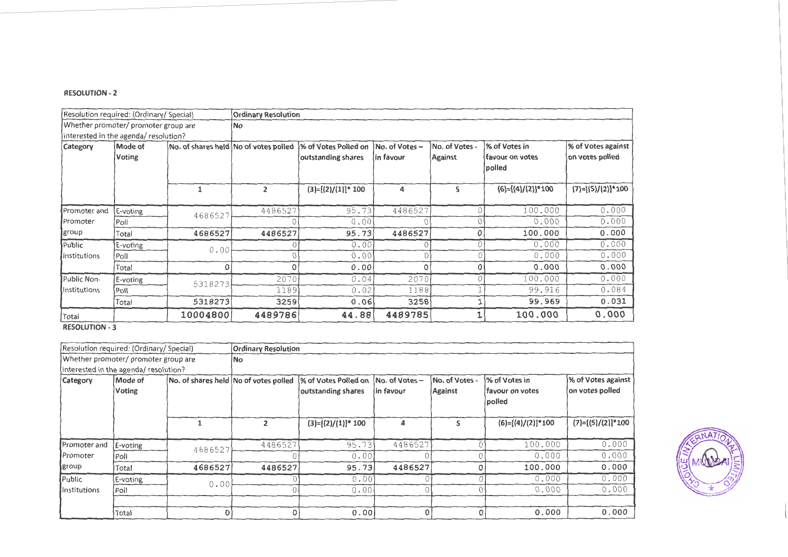|                     | Resolution required: (Ordinary/ Special) |                                       | <b>Ordinary Resolution</b> |                       |                |                |                           |                     |
|---------------------|------------------------------------------|---------------------------------------|----------------------------|-----------------------|----------------|----------------|---------------------------|---------------------|
|                     | Whether promoter/ promoter group are     |                                       | No.                        |                       |                |                |                           |                     |
|                     | interested in the agenda/ resolution?    |                                       |                            |                       |                |                |                           |                     |
| Category            | Mode of                                  | No. of shares held No of votes polled |                            | % of Votes Polled on  | No. of Votes - | No. of Votes - | % of Votes in             | % of Votes against  |
|                     | Voting                                   |                                       |                            | outstanding shares    | ∣in favour     | <b>Against</b> | favour on votes<br>polled | on votes polled     |
|                     |                                          | $\mathbf{1}$                          | $\overline{2}$             | $(3)=[(2)/(1)]$ * 100 | 4              | 5              | $(6)=[(4)/(2)]*100$       | $(7)=[(5)/(2)]*100$ |
| Promoter and        | E-voting                                 | 4686527                               | 4486527                    | 95.73                 | 4486527        | C              | 100.000                   | 0.000               |
| Promoter            | Poll                                     |                                       |                            | 0.00                  |                |                | 0.000                     | 0.000               |
| group               | Total                                    | 4686527                               | 4486527                    | 95.73                 | 4486527        | 0              | 100.000                   | 0.000               |
| Public              | E-voting                                 | 0.00                                  |                            | 0.00                  |                |                | 0.000                     | 0.000               |
| Institutions        | Poll                                     |                                       | Ω                          | 0.00                  |                |                | 0.000                     | 0.000               |
|                     | Total                                    | 0                                     | $\Omega$                   | 0.00                  | O              | O              | 0.000                     | 0.000               |
| Public Non-         | E-voting                                 | 5318273                               | 2070                       | 0.04                  | 2070           |                | 100.000                   | 0.000               |
| <b>Institutions</b> | Poll                                     |                                       | 1189                       | 0.02                  | 1188           |                | 99.916                    | 0.084               |
|                     | Total                                    | 5318273                               | 3259                       | 0.06                  | 3258           |                | 99.969                    | 0.031               |
| Total               |                                          | 10004800                              | 4489786                    | 44.88                 | 4489785        |                | 100.000                   | 0.000               |

|               | Resolution required: (Ordinary/ Special) |                                       | <b>Ordinary Resolution</b> |                       |               |                |                           |                     |
|---------------|------------------------------------------|---------------------------------------|----------------------------|-----------------------|---------------|----------------|---------------------------|---------------------|
|               | Whether promoter/ promoter group are     |                                       | No.                        |                       |               |                |                           |                     |
|               | interested in the agenda/ resolution?    |                                       |                            |                       |               |                |                           |                     |
| Category      | Mode of                                  | No. of shares held No of votes polled |                            | % of Votes Polled on  | No. of Votes- | No. of Votes - | % of Votes in             | % of Votes against  |
|               | Voting                                   |                                       |                            | outstanding shares    | in favour     | Against        | favour on votes<br>polled | on votes polled     |
|               |                                          |                                       | $\overline{2}$             | $(3)=[(2)/(1)]$ * 100 | 4             | ς              | $(6)=[(4)/(2)]*100$       | $(7)=[(5)/(2)]*100$ |
| Promoter and  | E-voting                                 | 4686527                               | 4486527                    | 95.73                 | 4486527       |                | 100.000                   | 0.000               |
| Promoter      | Poll                                     |                                       |                            | 0.00                  |               |                | 0.000                     | 0.000               |
| group         | Total                                    | 4686527                               | 4486527                    | 95.73                 | 4486527       |                | 100.000                   | 0.000               |
| Public        | E-voting                                 | 0.00                                  |                            | 0.00                  |               |                | 0.000                     | 0.000               |
| lInstitutions | Poll                                     |                                       |                            | 0.00                  |               |                | 0.000                     | 0.000               |
|               |                                          |                                       |                            |                       |               |                |                           |                     |
|               | Total                                    |                                       | O                          | 0.00                  | 0             | 0              | 0.000                     | 0.000               |

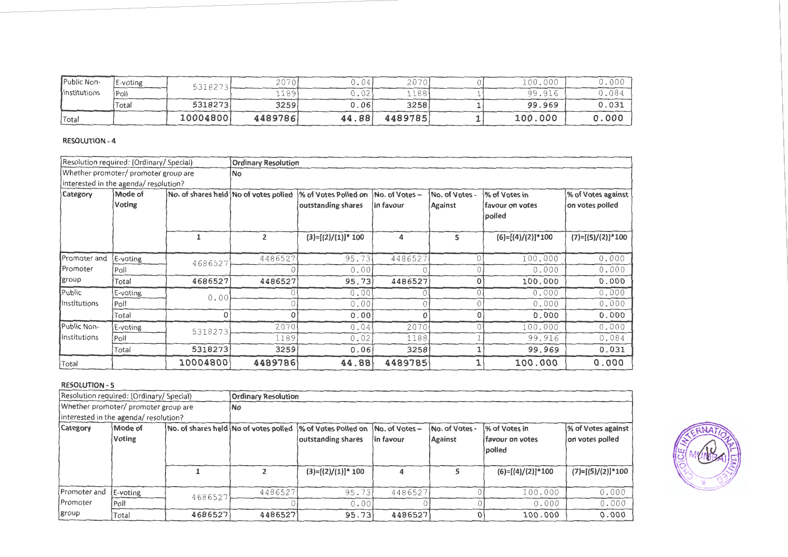| Public Non-         | E-voting | 531827~  | 2070    | . U4 ' | 2070    | 00.000  | J.OOF |
|---------------------|----------|----------|---------|--------|---------|---------|-------|
| <b>Institutions</b> | $P$ oll  |          | 189'    | ∩∩     | 188     | 99.916  | 7.084 |
|                     | Total    | 5318273  | 3259    | 0.06!  | 3258    | 99.969  | 0.031 |
| 'Total              |          | 10004800 | 4489786 | 44.88  | 4489785 | 100,000 | 0.000 |

| Resolution required: (Ordinary/ Special) |                                       |              | <b>Ordinary Resolution</b>            |                                            |                            |                           |                                             |                                       |
|------------------------------------------|---------------------------------------|--------------|---------------------------------------|--------------------------------------------|----------------------------|---------------------------|---------------------------------------------|---------------------------------------|
|                                          | Whether promoter/ promoter group are  |              | No.                                   |                                            |                            |                           |                                             |                                       |
|                                          | interested in the agenda/ resolution? |              |                                       |                                            |                            |                           |                                             |                                       |
| Category                                 | Mode of<br>Voting                     |              | No. of shares held No of votes polled | % of Votes Polled on<br>outstanding shares | No. of Votes-<br>in favour | No. of Votes -<br>Against | % of Votes in<br>lfavour on votes<br>polled | % of Votes against<br>on votes polled |
|                                          |                                       | $\mathbf{1}$ | $\overline{2}$                        | $(3)=[(2)/(1)]$ * 100                      | 4                          | 5                         | $(6)=[(4)/(2)]*100$                         | $(7)=[(5)/(2)]*100$                   |
| Promoter and                             | E-voting                              | 4686527      | 4486527                               | 95.73                                      | 4486527                    |                           | 100.000                                     | 0.000                                 |
| <b>Promoter</b>                          | Poll                                  |              |                                       | 0.00                                       |                            |                           | 0.000                                       | 0.000                                 |
| group                                    | Total                                 | 4686527      | 4486527                               | 95.73                                      | 4486527                    | 0                         | 100.000                                     | 0.000                                 |
| Public                                   | E-voting                              | 0.00         |                                       | 0.00                                       |                            |                           | 0.000                                       | 0.000                                 |
| Institutions                             | Poll                                  |              |                                       | 0.001                                      |                            |                           | 0.000                                       | 0.000                                 |
|                                          | Total                                 |              | 0                                     | 0.00                                       | Ω                          | 0                         | 0.000                                       | 0.000                                 |
| Public Non-                              | E-voting                              | 5318273      | 2070                                  | 0.04                                       | 2070                       |                           | 100.000                                     | 0.000                                 |
| Institutions                             | Poll                                  |              | 1189                                  | 0.02                                       | 1188                       |                           | 99.916                                      | 0.084                                 |
|                                          | Total                                 | 5318273      | 3259                                  | 0.06                                       | 3258                       |                           | 99.969                                      | 0.031                                 |
| Total                                    |                                       | 10004800     | 4489786                               | 44.88                                      | 4489785                    |                           | 100.000                                     | 0.000                                 |

|                 | (Resolution required: (Ordinary/ Special) |         | <b>Ordinary Resolution</b>            |                       |                |                |                         |                     |  |  |
|-----------------|-------------------------------------------|---------|---------------------------------------|-----------------------|----------------|----------------|-------------------------|---------------------|--|--|
|                 | Whether promoter/ promoter group are      |         | No.                                   |                       |                |                |                         |                     |  |  |
|                 | interested in the agenda/ resolution?     |         |                                       |                       |                |                |                         |                     |  |  |
| Category        | Mode of                                   |         | No. of shares held No of votes polled | % of Votes Polled on  | No. of Votes - | No. of Votes - | % of Votes in           | % of Votes against  |  |  |
|                 | Voting                                    |         |                                       | outstanding shares    | lin favour     | Against        | <b>Ifavour on votes</b> | on votes polled     |  |  |
|                 |                                           |         |                                       |                       |                |                | polled                  |                     |  |  |
|                 |                                           |         |                                       |                       |                |                |                         |                     |  |  |
|                 |                                           |         |                                       | $(3)=[(2)/(1)]$ * 100 |                |                | $(6)=[(4)/(2)]*100$     | $(7)=[(5)/(2)]*100$ |  |  |
|                 |                                           |         |                                       |                       |                |                |                         |                     |  |  |
| Promoter and    | E-voting                                  | 4686527 | 4486527                               | 95.73                 | 4486527        |                | 100.000                 | 0.000               |  |  |
| <b>Promoter</b> | Poll                                      |         |                                       | 0.00                  |                |                | 0.000                   | 0.000               |  |  |
| [group]         | Total                                     | 4686527 | 4486527                               | 95.73                 | 4486527        |                | 100.000                 | 0.000               |  |  |

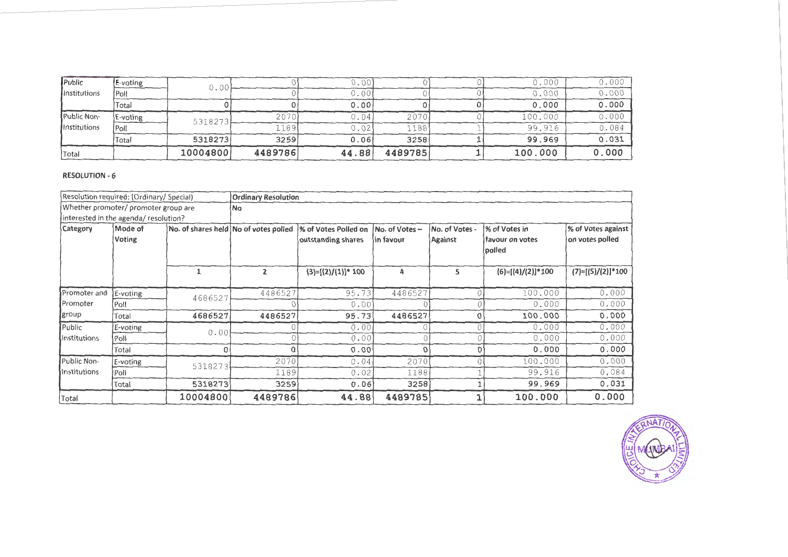| Public              | <b>E-voting</b> | 0.00     |         | 0.001 |         | 0.000   | 0.000 |
|---------------------|-----------------|----------|---------|-------|---------|---------|-------|
| <b>Institutions</b> | Poll            |          |         | 0.001 |         | 0.000   | 0.000 |
|                     | Total           |          |         | 0.001 |         | 0.000   | 0.000 |
| Public Non-         | E-voting        | 5318273  | 2070    | 0.04  | 2070    | 100.000 | 0.000 |
| <b>Institutions</b> | Poll            |          | 11891   | 0.02  | 1188,   | 99.916  | 0.084 |
|                     | Total           | 5318273  | 3259    | 0.061 | 3258    | 99.969  | 0.031 |
| 'Total              |                 | 10004800 | 4489786 | 44.88 | 4489785 | 100.000 | 0.000 |

|              | Resolution required: (Ordinary/ Special) |          | <b>Ordinary Resolution</b>            |                       |                |                |                     |                     |
|--------------|------------------------------------------|----------|---------------------------------------|-----------------------|----------------|----------------|---------------------|---------------------|
|              | Whether promoter/ promoter group are     |          | No                                    |                       |                |                |                     |                     |
|              | interested in the agenda/ resolution?    |          |                                       |                       |                |                |                     |                     |
| Category     | Mode of                                  |          | No. of shares held No of votes polled | % of Votes Polled on  | No. of Votes - | No. of Votes - | % of Votes in       | % of Votes against  |
|              | Voting                                   |          |                                       | outstanding shares    | in favour      | Against        | favour on votes     | on votes polled     |
|              |                                          |          |                                       |                       |                |                | polled              |                     |
|              |                                          | 1        | $\overline{2}$                        | $(3)=[(2)/(1)]$ * 100 | 4              | 5.             | $(6)=[(4)/(2)]*100$ | $(7)=[(5)/(2)]*100$ |
|              |                                          |          |                                       |                       |                |                |                     |                     |
| Promoter and | E-voting                                 | 4686527  | 4486527                               | 95.73                 | 4486527        |                | 100.000             | 0.000               |
| Promoter     | Poll                                     |          |                                       | 0.00                  |                |                | 0.000               | 0.000               |
| group        | Total                                    | 4686527  | 4486527                               | 95.73                 | 4486527        |                | 100.000             | 0.000               |
| Public       | E-voting                                 | 0.00     |                                       | 0.00                  |                |                | 0.000               | 0.000               |
| Institutions | Poll                                     |          | O                                     | 0.00                  |                |                | 0.000               | 0.000               |
|              | Total                                    |          | $\Omega$                              | 0.00                  | C              |                | 0.000               | 0.000               |
| Public Non-  | E-voting                                 | 5318273  | 2070                                  | 0.04                  | 2070           |                | 100.000             | 0.000               |
| Institutions | Poll                                     |          | 1189                                  | 0.02                  | 1188           |                | 99.916              | 0.084               |
|              | Total                                    | 5318273  | 3259                                  | 0.06                  | 3258           |                | 99.969              | 0.031               |
| Total        |                                          | 10004800 | 4489786                               | 44.88                 | 4489785        |                | 100.000             | 0.000               |

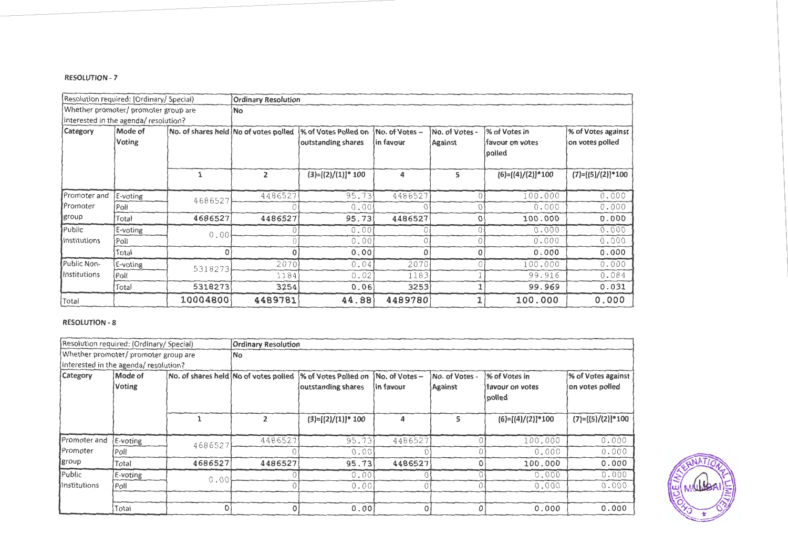|              | Resolution required: (Ordinary/ Special) |                                       | <b>Ordinary Resolution</b> |                      |                |                |                           |                     |
|--------------|------------------------------------------|---------------------------------------|----------------------------|----------------------|----------------|----------------|---------------------------|---------------------|
|              | Whether promoter/ promoter group are     |                                       | No.                        |                      |                |                |                           |                     |
|              | interested in the agenda/ resolution?    |                                       |                            |                      |                |                |                           |                     |
| Category     | Mode of                                  | No. of shares held No of votes polled |                            | % of Votes Polled on | No. of Votes - | No. of Votes   | % of Votes in             | % of Votes against  |
|              | <b>Voting</b>                            |                                       |                            | outstanding shares   | in favour      | <b>Against</b> | favour on votes<br>polled | on votes polled     |
|              |                                          |                                       | $\overline{2}$             | $(3)=[(2)/(1)]*100$  | 4              | 5              | $(6)=[(4)/(2)]*100$       | $(7)=[(5)/(2)]*100$ |
| Promoter and | E-voting                                 | 4686527                               | 4486527                    | 95.73                | 4486527        |                | 100.000                   | 0.000               |
| Promoter     | Poll                                     |                                       |                            | 0.00                 |                |                | 0.000                     | 0.000               |
| group        | Total                                    | 4686527                               | 4486527                    | 95.73                | 4486527        | 0              | 100.000                   | 0.000               |
| Public       | E-voting                                 | 0.00                                  |                            | 0.00                 |                |                | 0.000                     | 0.000               |
| Institutions | Poll                                     |                                       |                            | 0.00                 |                |                | 0.000                     | 0.000               |
|              | Total                                    | 0                                     | $\Omega$                   | 0.00                 | O              | O              | 0.000                     | 0.000               |
| Public Non-  | E-voting                                 | 5318273                               | 2070                       | 0.04                 | 2070           |                | 100.000                   | 0.000               |
| Institutions | Poll                                     |                                       | 1184                       | 0.02                 | 1183           |                | 99.916                    | 0.084               |
|              | Total                                    | 5318273                               | 3254                       | 0.06                 | 3253           |                | 99.969                    | 0.031               |
| Total        |                                          | 10004800                              | 4489781                    | 44.88                | 4489780        |                | 100.000                   | 0.000               |

|                 | Resolution required: (Ordinary/ Special) |                                       | <b>Ordinary Resolution</b> |                       |                |                |                            |                     |
|-----------------|------------------------------------------|---------------------------------------|----------------------------|-----------------------|----------------|----------------|----------------------------|---------------------|
|                 | Whether promoter/ promoter group are     |                                       | lNo.                       |                       |                |                |                            |                     |
|                 | interested in the agenda/ resolution?    |                                       |                            |                       |                |                |                            |                     |
| <b>Category</b> | Mode of                                  | No. of shares held No of votes polled |                            | 1% of Votes Polled on | No. of Votes - | No. of Votes - | 1% of Votes in             | % of Votes against  |
|                 | Voting                                   |                                       |                            | outstanding shares    | in favour      | Against        | lfavour on votes<br>polled | on votes polled     |
|                 |                                          |                                       | $\overline{2}$             | $(3)=[(2)/(1)]$ * 100 | 4              | 5              | $(6)=[(4)/(2)]*100$        | $(7)=[(5)/(2)]*100$ |
| Promoter and    | E-voting                                 | 4686527                               | 4486527                    | 95.73                 | 4486527        |                | 100.000                    | 0.000               |
| Promoter        | Poll                                     |                                       |                            | 0.00                  |                |                | 0.000                      | 0.000               |
| group           | Total                                    | 4686527                               | 4486527                    | 95.73                 | 4486527        |                | 100.000                    | 0.000               |
| Public          | E-voting                                 | 0.00                                  |                            | 0.00                  |                |                | 0.000                      | 0.000               |
| Institutions    | Poll                                     |                                       |                            | 0.00                  |                |                | 0.000                      | 0.000               |
|                 |                                          |                                       |                            |                       |                |                |                            |                     |
|                 | Total                                    |                                       | 0                          | 0.00                  |                | $\Omega$       | 0.000                      | 0.000               |

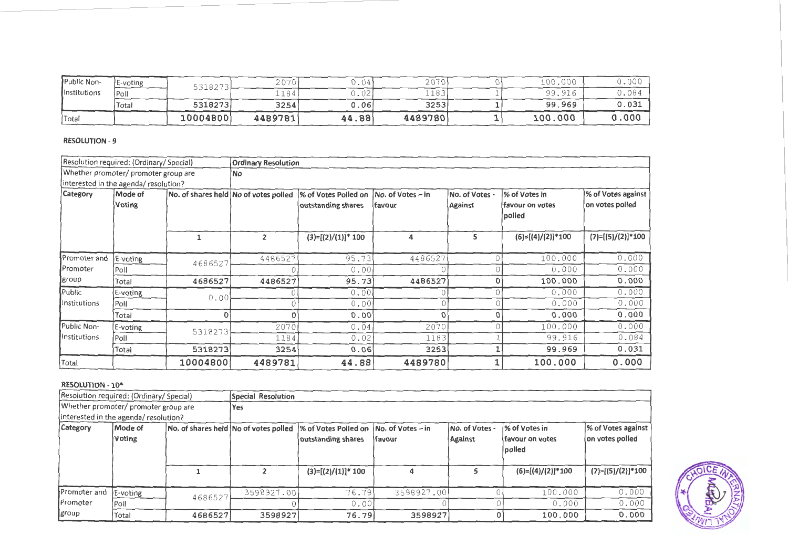| Public Non-         | E-voting    | 5318272  | 2070<br>ZU. | $\sim$ $\sim$<br>J.U4 | 2070    | 100.000 | J.00 <sup>c</sup> |
|---------------------|-------------|----------|-------------|-----------------------|---------|---------|-------------------|
| <b>Institutions</b> | <b>Poll</b> |          | 1184        | $\cdot$ V $\sim$      | 1183    | 99.916  | J.O8              |
|                     | Total       | 5318273  | 3254        | J.O6'                 | 3253    | 99.969  | 0.031             |
| Total               |             | 10004800 | 4489781     | 44.88                 | 4489780 | 100.000 | .000              |

| Resolution required: (Ordinary/ Special) |                                      |          | <b>Ordinary Resolution</b>            |                       |                     |                |                           |                     |
|------------------------------------------|--------------------------------------|----------|---------------------------------------|-----------------------|---------------------|----------------|---------------------------|---------------------|
|                                          | Whether promoter/ promoter group are |          |                                       |                       |                     |                |                           |                     |
| interested in the agenda/resolution?     |                                      |          |                                       |                       |                     |                |                           |                     |
| <b>Category</b>                          | Mode of                              |          | No. of shares held No of votes polled | % of Votes Polled on  | $No. of Votes - in$ | No. of Votes - | % of Votes in             | % of Votes against  |
|                                          | Voting                               |          |                                       | outstanding shares    | favour              | Against        | favour on votes<br>polled | on votes polled     |
|                                          |                                      |          | $\overline{2}$                        | $(3)=[(2)/(1)]$ * 100 | 4                   | 5              | $(6)=[(4)/(2)]*100$       | $(7)=[(5)/(2)]*100$ |
| Promoter and                             | E-voting                             | 4686527  | 4486527                               | 95.73                 | 4486527             |                | 100.000                   | 0.000               |
| Promoter                                 | Poll                                 |          |                                       | 0.001                 |                     |                | 0.000                     | 0.000               |
| ∥group                                   | Total                                | 4686527  | 4486527                               | 95.73                 | 4486527             | 0              | 100.000                   | 0.000               |
| Public                                   | E-voting                             | 0.00     |                                       | 0.00                  |                     | 0              | 0.000                     | 0.000               |
| Institutions                             | Poll                                 |          |                                       | 0.001                 |                     | 0              | 0.000                     | 0.000               |
|                                          | Total                                |          |                                       | 0.00                  | O                   | 0              | 0.000                     | 0.000               |
| Public Non-                              | E-voting                             | 5318273  | 2070                                  | 0.04                  | 2070                | Ω              | 100.000                   | 0.000               |
| Institutions                             | Poll                                 |          | 1184                                  | 0.02                  | 1183                |                | 99.916                    | 0.084               |
|                                          | Total                                | 5318273  | 3254                                  | 0.06                  | 3253                |                | 99.969                    | 0.031               |
| Total                                    |                                      | 10004800 | 4489781                               | 44.88                 | 4489780             |                | 100.000                   | 0.000               |

#### RESOLUTION - 10\*

|                                       | Resolution required: (Ordinary/ Special) |         | Special Resolution                                                                                   |                       |                |                           |                                                     |                                       |  |
|---------------------------------------|------------------------------------------|---------|------------------------------------------------------------------------------------------------------|-----------------------|----------------|---------------------------|-----------------------------------------------------|---------------------------------------|--|
| Whether promoter/ promoter group are  |                                          |         | Yes:                                                                                                 |                       |                |                           |                                                     |                                       |  |
| interested in the agenda/ resolution? |                                          |         |                                                                                                      |                       |                |                           |                                                     |                                       |  |
| <b>Category</b>                       | Mode of<br>Voting                        |         | No. of shares held No of votes polled 1% of Votes Polled on 1No. of Votes – in<br>outstanding shares |                       | <b>Ifavour</b> | No. of Votes -<br>Against | % of Votes in<br>ifavour on votes<br><b>Ipolled</b> | % of Votes against<br>on votes polled |  |
|                                       |                                          |         |                                                                                                      | $(3)=[(2)/(1)]^* 100$ |                |                           | $(6)=[(4)/(2)]*100$                                 | $(7)=[(5)/(2)]*100$                   |  |
| Promoter and                          | E-voting                                 | 4686527 | 3598927.00                                                                                           | 76.79                 | 3598927.00     |                           | 100.000                                             | 0.000                                 |  |
| Promoter                              | Poll                                     |         |                                                                                                      | 0.00                  |                |                           | 0.000                                               | 0.000                                 |  |
| group                                 | Total                                    | 4686527 | 3598927                                                                                              | 76.79                 | 3598927        |                           | 100.000                                             | 0.000                                 |  |

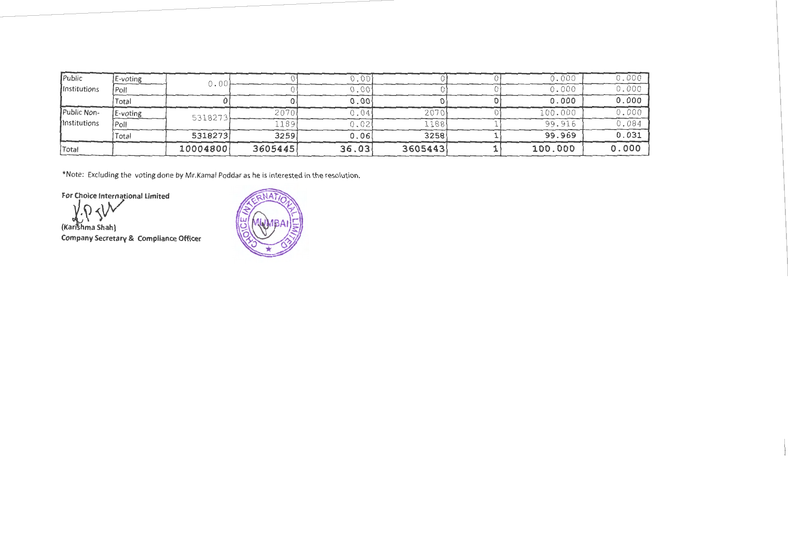| Public       | E-voting | 0.00     |         | ).OO  |         | 0.000   | 0.000 |
|--------------|----------|----------|---------|-------|---------|---------|-------|
| Institutions | Poll     |          |         | 0.00  |         | 0.000   | 0.000 |
|              | Total    |          |         | 0.00  |         | 0.000   | 0.000 |
| Public Non-  | E-voting | 5318273  | 2070    | 0.04  | 2070    | 100.000 | 0.000 |
| Institutions | Poll     |          | 189     | 0.02  | .188    | 99.916  | 0.084 |
|              | Total    | 5318273  | 3259    | 0.06  | 3258    | 99.969  | 0.031 |
| Total        |          | 10004800 | 3605445 | 36.03 | 3605443 | 100.000 | 0.000 |

\*Note: Excluding the voting done by Mr.Kamal Poddar as he is interested in the resolution.

For Choice International Limited

*, ..t.Y.:'!::* 

Company Secretary & Compliance Officer

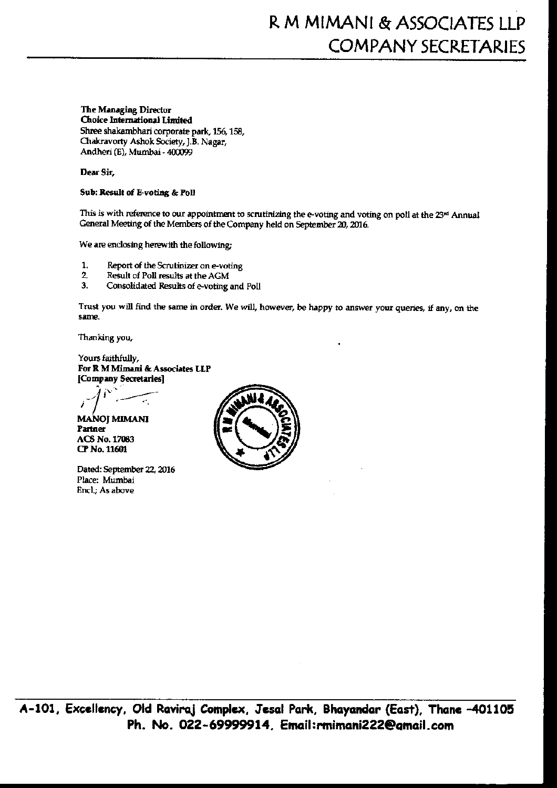# The Managing Director

Choice International Limited Shree shakambhari corporate park, 156, 158, Chakravorty Ashok Society, J.B. Nagar, Andheri (E), Mumbai - 400099

### Dear Sir,

### Sub: Result of E-voting & Poll

This is with reference to our appointment to scrutinizing the e-voting and voting on poll at the 23<sup>rd</sup> Annual General Meeting of the Members of the Company held on September 20, 2016.

We are enclosing herewith the following:

- Report of the Scrutinizer on e-voting  $\mathbf{1}$
- $\overline{2}$ Result of Poll results at the AGM
- $\overline{3}$ . Consolidated Results of e-voting and Poll

Trust you will find the same in order. We will, however, be happy to answer your queries, if any, on the same.

Thanking you,

Yours faithfully, For R M Mimani & Associates LLP [Company Secretaries]

**MANOJ MIMANI** Partner **ACS No. 17063** CP No. 11601

Dated: September 22, 2016 Place: Mumbai Encl.; As above

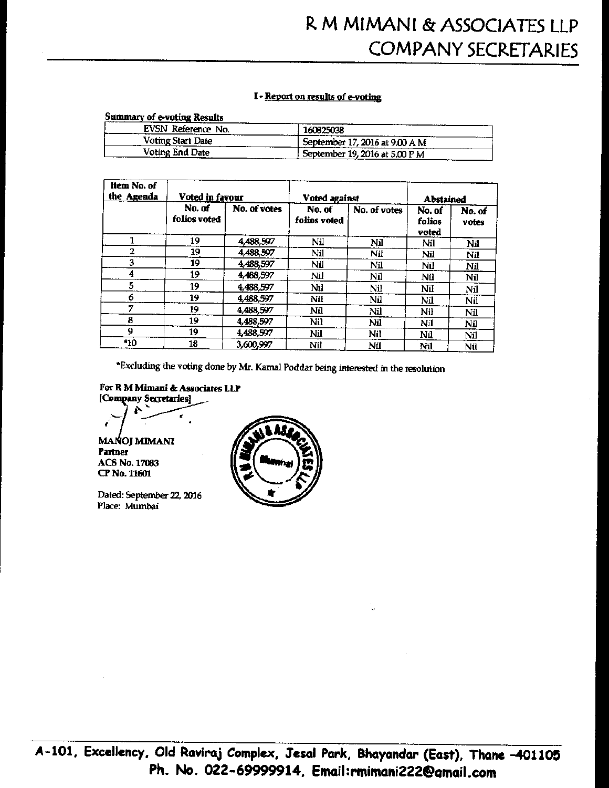### I - Report on results of e-voting

### **Summary of e-voting Results**

| EVSN Reference No. | 160825038                                |
|--------------------|------------------------------------------|
| Voting Start Date  | ------<br>September 17, 2016 at 9.00 A M |
| Voting End Date    | , September 19, 2016 at 5.00 P M         |

| Item No. of<br>the Agenda | Voted in favour        |              | Voted against          |              | Abstained                 |                 |
|---------------------------|------------------------|--------------|------------------------|--------------|---------------------------|-----------------|
|                           | No. of<br>folios voted | No. of votes | No. of<br>folios voted | No. of votes | No. of<br>folios<br>voted | No. of<br>votes |
|                           | 19                     | 4,488,597    | Nil                    | Nil          | Nil                       | Nil             |
|                           | 19                     | 4,488,597    | Nil                    | Nil          | Nil                       | Nil             |
| 3                         | 19                     | 4,488,597    | Nil                    | Nil          | Nil                       | Nil             |
| 4                         | 19                     | 4,488,597    | Nil                    | Nil          | Nil                       | Nil             |
| 5                         | 19                     | 4,488,597    | Nil                    | Nil          | Nil                       | Nil             |
| 6                         | 19                     | 4,488,597    | Nil                    | Nil          | Nil                       | Nil             |
| 7                         | 19                     | 4,488,597    | Nil                    | Nil          | Nil                       | Nil             |
| 8                         | 19                     | 4,488,597    | Nil                    | Nіl          | Nіl                       | Nil             |
| 9                         | 19                     | 4,488,597    | Nil                    | Nіl          | Nil                       | Nil             |
| *10                       | 18                     | 3,600,997    | Nil                    | Nil          | Nil                       | Nil             |

\*Excluding the voting done by Mr. Kamal Poddar being interested in the resolution

For R M Mimani & Associates LLP [Company Secretaries]

**MAÑOJ MIMANI** Partner

**ACS No. 17083** CP No. 11601

Dated: September 22, 2016 Place: Mumbai

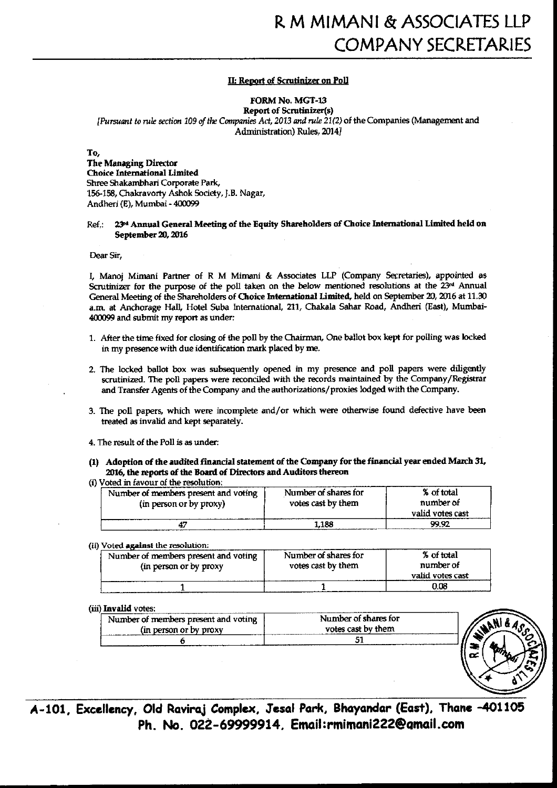#### **II: Report of Scrutinizer on Poll**

FORM No. MGT-13

**Report of Scrutinizer(s)** [Pursuant to rule section 109 of the Companies Act, 2013 and rule 21(2) of the Companies (Management and Administration) Rules, 2014]

To.

**The Managing Director Choice International Limited** Shree Shakambhari Corporate Park, 156-158, Chakravorty Ashok Society, J.B. Nagar, Andheri (E), Mumbai - 400099

#### 23<sup>rd</sup> Annual General Meeting of the Equity Shareholders of Choice International Limited held on  $Ref.$ September 20, 2016

Dear Sir.

I. Manoi Mimani Partner of R M Mimani & Associates LLP (Company Secretaries), appointed as Scrutinizer for the purpose of the poll taken on the below mentioned resolutions at the 23rd Annual General Meeting of the Shareholders of Choice International Limited, held on September 20, 2016 at 11.30 a.m. at Anchorage Hall, Hotel Suba International, 211, Chakala Sahar Road, Andheri (East), Mumbai-400099 and submit my report as under:

- 1. After the time fixed for closing of the poll by the Chairman, One ballot box kept for polling was locked in my presence with due identification mark placed by me.
- 2. The locked ballot box was subsequently opened in my presence and poll papers were diligently scrutinized. The poll papers were reconciled with the records maintained by the Company/Registrar and Transfer Agents of the Company and the authorizations/proxies lodged with the Company.
- 3. The poll papers, which were incomplete and/or which were otherwise found defective have been treated as invalid and kept separately.
- 4. The result of the Poll is as under:
- (1) Adoption of the audited financial statement of the Company for the financial year ended March 31, 2016, the reports of the Board of Directors and Auditors thereon
- (i) Voted in favour of the resolution:

| Number of members present and voting<br>(in person or by proxy) | Number of shares for<br>votes cast by them | % of total<br>number of<br>valid votes cast |
|-----------------------------------------------------------------|--------------------------------------------|---------------------------------------------|
|                                                                 | 1.188                                      | 99.92                                       |

#### (ii) Voted against the resolution:

| Number of members present and voting<br>(in person or by proxy | Number of shares for<br>votes cast by them | % of total<br>number of |
|----------------------------------------------------------------|--------------------------------------------|-------------------------|
|                                                                |                                            | valid votes cast        |
|                                                                |                                            | 0.08                    |

#### (iii) Invalid votes:

| Number of members present and voting<br>(in person or by proxy) | Number of shares for<br>votes cast by them |
|-----------------------------------------------------------------|--------------------------------------------|
|                                                                 |                                            |



A-101, Excellency, Old Raviraj Complex, Jesal Park, Bhayandar (East), Thane -401105 Ph. No. 022-69999914. Email:rmimani222@amail.com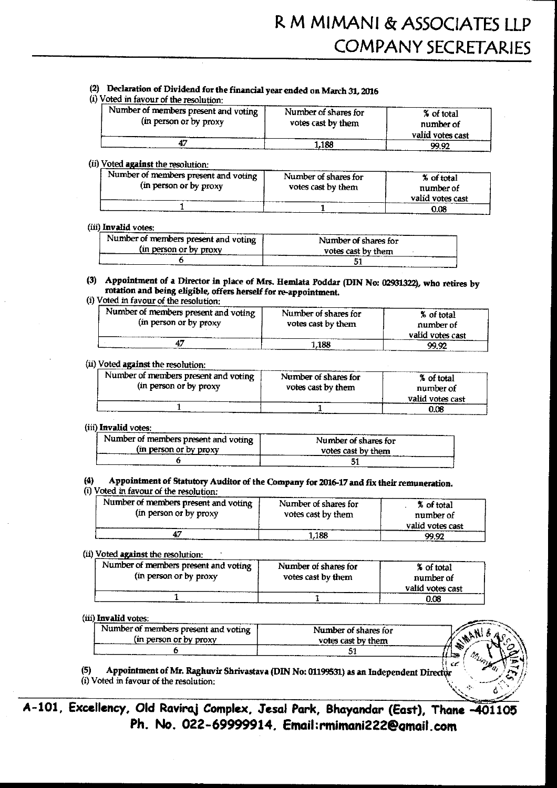## (2) Declaration of Dividend for the financial year ended on March 31, 2016

(i) Voted in favour of the resolution:

| Number of members present and voting<br>(in person or by proxy | Number of shares for<br>votes cast by them | % of total<br>number of<br>valid votes cast |
|----------------------------------------------------------------|--------------------------------------------|---------------------------------------------|
|                                                                | 1.188                                      | 99.92                                       |

#### (ii) Voted against the resolution:

| --------------------                   |                      |                  |
|----------------------------------------|----------------------|------------------|
| Number of members present and voting ' | Number of shares for | % of total       |
| (in person or by proxy                 | votes cast by them   | number of        |
|                                        |                      |                  |
|                                        |                      | valid votes cast |
|                                        |                      | 0.08             |

#### (iii) Invalid votes:

| Number of members present and voting | Number of shares for |
|--------------------------------------|----------------------|
| (in person or by proxy)              | votes cast by them   |
|                                      |                      |

(3) Appointment of a Director in place of Mrs. Hemlata Poddar (DIN No: 02931322), who retires by rotation and being eligible, offers herself for re-appointment.

## (i) Voted in favour of the resolution:

| Number of members present and voting<br>(in person or by proxy) | Number of shares for<br>votes cast by them | % of total<br>number of |
|-----------------------------------------------------------------|--------------------------------------------|-------------------------|
|                                                                 |                                            | valid votes cast        |
|                                                                 | .188                                       | <u>99.92</u>            |

#### (ii) Voted against the resolution:

| Number of members present and voting<br>(in person or by proxy) | Number of shares for<br>votes cast by them | % of total<br>number of<br>valid votes cast |
|-----------------------------------------------------------------|--------------------------------------------|---------------------------------------------|
|                                                                 |                                            | 0.08                                        |

#### (iii) Invalid votes:

| Number of members present and voting | Number of shares for |
|--------------------------------------|----------------------|
| (in person or by proxy)              | votes cast by them   |
|                                      |                      |

#### $(4)$ Appointment of Statutory Auditor of the Company for 2016-17 and fix their remuneration.

#### (i) Voted in favour of the resolution:

| Number of members present and voting<br>(in person or by proxy | Number of shares for<br>votes cast by them | % of total<br>number of<br>valid votes cast |
|----------------------------------------------------------------|--------------------------------------------|---------------------------------------------|
|                                                                | 1.188                                      | 99.92                                       |

#### (ii) Voted against the resolution:

| Number of members present and voting<br>(in person or by proxy | Number of shares for<br>votes cast by them | % of total<br>number of<br>valid votes cast |
|----------------------------------------------------------------|--------------------------------------------|---------------------------------------------|
|                                                                |                                            | 0.08                                        |

#### (iii) Invalid votes:

| Number of members present and voting | Number of shares for |  |
|--------------------------------------|----------------------|--|
| in person or by proxy                | votes cast by them   |  |
|                                      |                      |  |

 $(5)$ Appointment of Mr. Raghuvir Shrivastava (DIN No: 01199531) as an Independent Director (i) Voted in favour of the resolution:

A-101, Excellency, Old Raviraj Complex, Jesal Park, Bhayandar (East), Thane -401105 Ph. No. 022-69999914, Email:rmimani222@qmail.com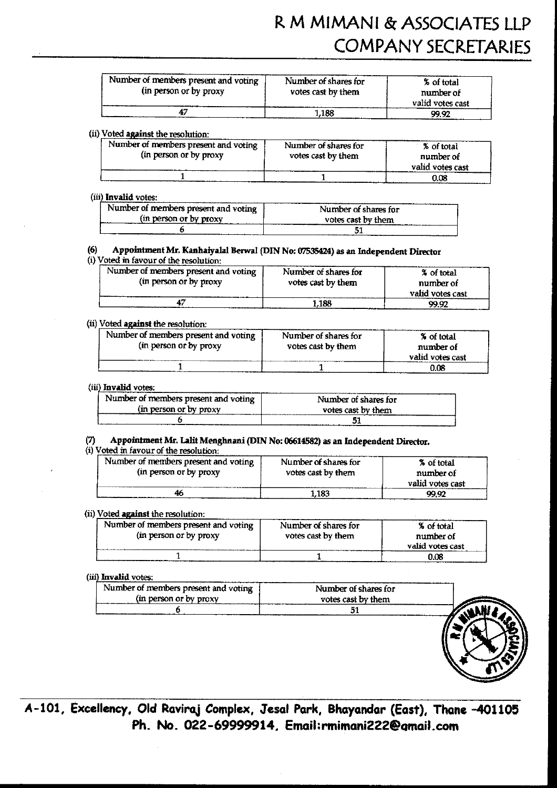# R M MIMANI & ASSOCIATES LLP **COMPANY SECRETARIES**

| Number of members present and voting<br>(in person or by proxy | Number of shares for<br>votes cast by them | % of total<br>number of<br>valid votes cast |
|----------------------------------------------------------------|--------------------------------------------|---------------------------------------------|
|                                                                | 1.188                                      | 99.92                                       |

#### (ii) Voted against the resolution:

| Number of members present and voting '<br>(in person or by proxy | Number of shares for<br>votes cast by them | % of total<br>number of |
|------------------------------------------------------------------|--------------------------------------------|-------------------------|
|                                                                  |                                            | valid votes cast        |
|                                                                  |                                            | 0.OB                    |

#### (iii) Invalid votes:

| Number of members present and voting | Number of shares for |
|--------------------------------------|----------------------|
|                                      |                      |
| (in person or by proxy)              | votes cast by them   |
|                                      |                      |

#### Appointment Mr. Kanhaiyalal Berwal (DIN No: 07535424) as an Independent Director  $(6)$

### (i) Voted in favour of the resolution:

| Number of members present and voting | Number of shares for | % of total       |
|--------------------------------------|----------------------|------------------|
| (in person or by proxy               | votes cast by them   | number of        |
|                                      |                      | valid votes cast |
|                                      | 1.188                | 99.92            |

#### (ii) Voted against the resolution:

| Number of members present and voting<br>(in person or by proxy | Number of shares for<br>votes cast by them | % of total<br>number of<br>valid votes cast |
|----------------------------------------------------------------|--------------------------------------------|---------------------------------------------|
|                                                                |                                            | 0.08                                        |

#### (iii) Invalid votes:

| Number of members present and voting ' | Number of shares for |  |
|----------------------------------------|----------------------|--|
| In person or by proxy                  | votes cast by them   |  |
|                                        |                      |  |

#### Appointment Mr. Lalit Menghnani (DIN No: 06614582) as an Independent Director. (7)

(i) Voted in favour of the resolution:

| Number of members present and voting<br>(in person or by proxy) | Number of shares for<br>votes cast by them | % of total<br>number of<br>valid votes cast |
|-----------------------------------------------------------------|--------------------------------------------|---------------------------------------------|
| 46                                                              | 1.183                                      | 99.92                                       |

#### (ii) Voted against the resolution:

| Number of members present and voting<br>(in person or by proxy) | Number of shares for<br>votes cast by them | % of total<br>number of<br>valid votes cast |
|-----------------------------------------------------------------|--------------------------------------------|---------------------------------------------|
|                                                                 |                                            | 0.08                                        |

#### (iii) Invalid votes:

| Number of members present and voting | Number of shares for |  |
|--------------------------------------|----------------------|--|
| (in person or by proxy)              | votes cast by them   |  |
|                                      |                      |  |
|                                      |                      |  |

A-101, Excellency, Old Raviraj Complex, Jesal Park, Bhayandar (East), Thane -401105 Ph. No. 022-69999914, Email:rmimani222@gmail.com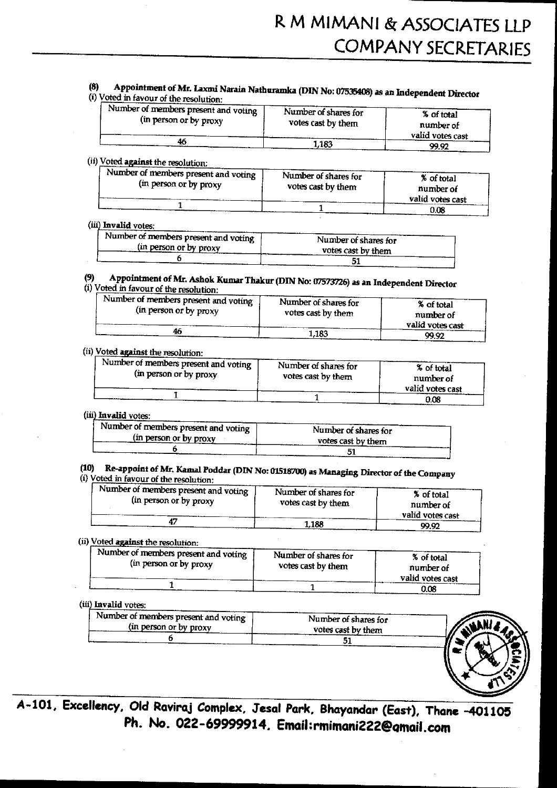#### Appointment of Mr. Laxmi Narain Nathuramka (DIN No: 07535408) as an Independent Director  $(8)$

(i) Voted in favour of the resolution:

| Wumber of members present and voting $\frac{1}{2}$<br>(in person or by proxy<br>46 | Number of shares for<br>votes cast by them | % of total<br>number of<br>valid votes cast |  |
|------------------------------------------------------------------------------------|--------------------------------------------|---------------------------------------------|--|
|                                                                                    | 1.183                                      | QQ Q?                                       |  |

## (ii) Voted against the resolution:

| Number of members present and voting | Number of shares for | % of total       |
|--------------------------------------|----------------------|------------------|
| (in person or by proxy               | votes cast by them   |                  |
|                                      |                      | number of        |
|                                      |                      | valid votes cast |
|                                      |                      | 0.08             |

#### (iii) Invalid votes:

| Number of members present and voting $\rightarrow$ | Number of shares for |
|----------------------------------------------------|----------------------|
| (in person or by proxy)                            | votes cast by them   |
|                                                    |                      |

#### Appointment of Mr. Ashok Kumar Thakur (DIN No: 07573726) as an Independent Director  $(9)$ (i) Voted in favour of the resolution:

| Number of members present and voting | Number of shares for | % of total       |
|--------------------------------------|----------------------|------------------|
| (in person or by proxy               | votes cast by them   | number of        |
|                                      |                      | valid votes cast |
|                                      | 1,183                | 99.92            |

#### (ii) Voted against the resolution:

| Number of members present and voting<br>(in person or by proxy) | Number of shares for<br>votes cast by them | % of total<br>number of |
|-----------------------------------------------------------------|--------------------------------------------|-------------------------|
|                                                                 |                                            | valid votes cast        |
|                                                                 |                                            | 0.08                    |

#### (iii) Invalid votes:

| Number of members present and voting | Number of shares for |
|--------------------------------------|----------------------|
| (in person or by proxy)              | votes cast by them   |
|                                      |                      |

# (10) Re-appoint of Mr. Kamal Poddar (DIN No: 01518700) as Managing Director of the Company

(i) Voted in favour of the resolution:

| Number of members present and voting I<br>(in person or by proxy | Number of shares for<br>votes cast by them | % of total<br>number of<br>valid votes cast |
|------------------------------------------------------------------|--------------------------------------------|---------------------------------------------|
|                                                                  | 1.188                                      | 99.92                                       |

## (ii) Voted against the resolution:

| Number of members present and voting<br>(in person or by proxy | Number of shares for<br>votes cast by them | % of total<br>number of |
|----------------------------------------------------------------|--------------------------------------------|-------------------------|
|                                                                |                                            | valid votes cast        |
|                                                                |                                            | 0.08                    |

#### (iii) Invalid votes:

| . Number of members present and voting $\pm$ | Number of shares for |
|----------------------------------------------|----------------------|
| (in person or by proxy)                      | votes cast by them   |
|                                              |                      |



A-101, Excellency, Old Raviraj Complex, Jesal Park, Bhayandar (East), Thane -401105 Ph. No. 022-69999914, Email:rmimani222@gmail.com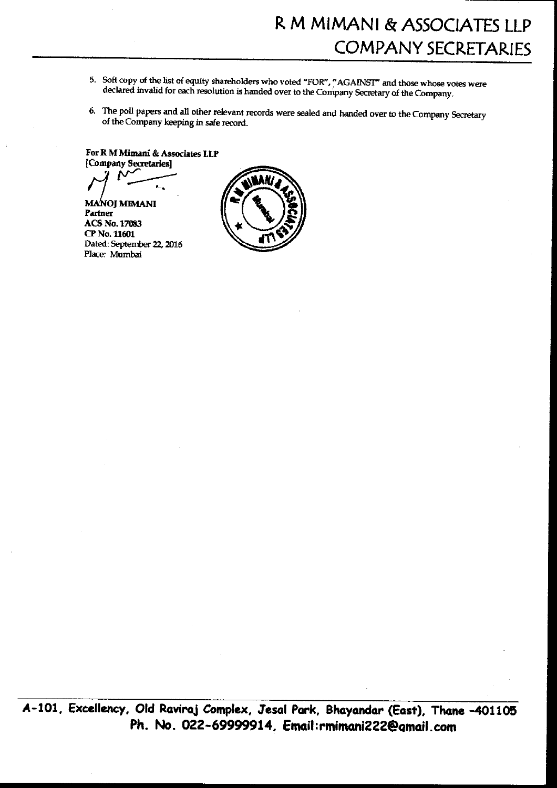- 5. Soft copy of the list of equity shareholders who voted "FOR", "AGAINST" and those whose votes were declared invalid for each resolution is handed over to the Company Secretary of the Company.
- 6. The poll papers and all other relevant records were sealed and handed over to the Company Secretary of the Company keeping in safe record.

For R M Mimani & Associates LLP [Company Secretaries]

**MANOJ MIMANI** Partner **ACS No. 17083** CP No. 11601 Dated: September 22, 2016 Place: Mumbai

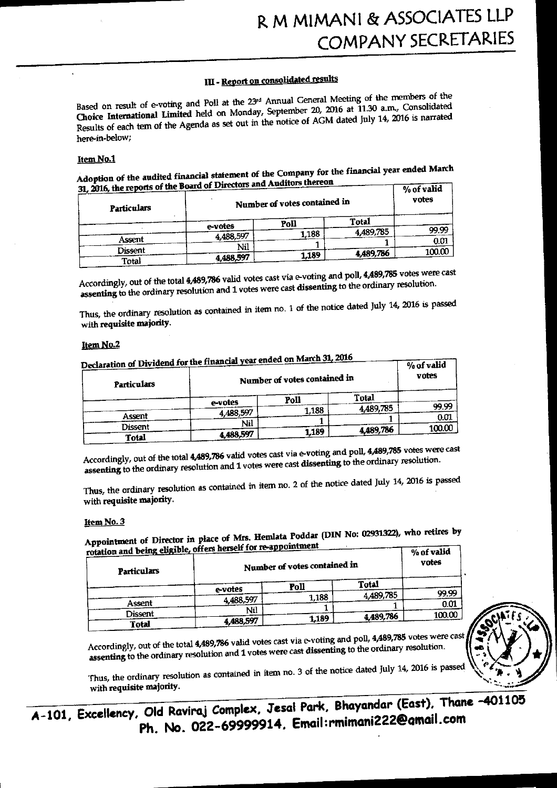# III - Report on consolidated results

Based on result of e-voting and Poll at the 23rd Annual General Meeting of the members of the Choice International Limited held on Monday, September 20, 2016 at 11.30 a.m., Consolidated Results of each tem of the Agenda as set out in the notice of AGM dated July 14, 2016 is narrated here-in-below:

#### Item No.1

Adoption of the audited financial statement of the Company for the financial year ended March 31, 2016, the reports of the Board of Directors and Auditors thereon  $\sqrt{N_{\text{eff}} + N_{\text{eff}}}$ 

| $JL$ and $JL$ and $JL$ and $JL$<br>Particulars |           | Number of votes contained in |           | 70 UL VALIU<br>votes |
|------------------------------------------------|-----------|------------------------------|-----------|----------------------|
|                                                | e-votes   | Poll                         | Total     |                      |
|                                                | 4,488,597 | 1.188                        | 4,489,785 | 99.99                |
| Assent                                         | Nil       |                              |           | 0.01                 |
| Dissent<br>Total                               | 4,488,597 | 1,189                        | 4,489,786 | 100.00               |

Accordingly, out of the total 4,489,786 valid votes cast via e-voting and poll, 4,489,785 votes were cast assenting to the ordinary resolution and 1 votes were cast dissenting to the ordinary resolution.

Thus, the ordinary resolution as contained in item no. 1 of the notice dated July 14, 2016 is passed with requisite majority.

#### Item No.2

| Particulars  | Declaration of Dividend for the financial year ended on March 31, 2016<br>Number of votes contained in |       |           | % of valid<br>votes |
|--------------|--------------------------------------------------------------------------------------------------------|-------|-----------|---------------------|
|              | e-votes                                                                                                | Poll  | Total     |                     |
|              |                                                                                                        | 1,188 | 4,489,785 | 99.99               |
| Assent       | 4 488,597                                                                                              |       |           | 0.01                |
| Dissent      | Nil                                                                                                    |       |           | 100.00              |
| <b>Total</b> | 4,488,597                                                                                              | 1.189 | 4,489,786 |                     |

Accordingly, out of the total 4,489,786 valid votes cast via e-voting and poll, 4,489,785 votes were cast assenting to the ordinary resolution and 1 votes were cast dissenting to the ordinary resolution.

Thus, the ordinary resolution as contained in item no. 2 of the notice dated July 14, 2016 is passed with requisite majority.

#### Item No. 3

Appointment of Director in place of Mrs. Hemlata Poddar (DIN No: 02931322), who retires by tion and being eligible, offers herself for re-appointment  $\overline{1}$  of  $\overline{3}$   $\overline{4}$   $\overline{1}$ 

| International and activities and activities<br><b>Particulars</b> |           | Number of votes contained in |           | 70 UL VALIU<br>votes |
|-------------------------------------------------------------------|-----------|------------------------------|-----------|----------------------|
|                                                                   | e-votes   | Poll                         | Total     |                      |
|                                                                   |           | 1,188                        | 4,489,785 | 99.99                |
| Assent                                                            | 4,488,597 |                              |           | 0.01                 |
| Dissent                                                           | Nil       |                              | 4,489,786 | 100.00               |
| <b>Total</b>                                                      | 4,488,597 | 1.189                        |           |                      |



Accordingly, out of the total 4,489,786 valid votes cast via e-voting and poll, 4,489,785 votes were cast assenting to the ordinary resolution and 1 votes were cast dissenting to the ordinary resolution.

Thus, the ordinary resolution as contained in item no. 3 of the notice dated July 14, 2016 is passed with requisite majority.

A-101, Excellency, Old Raviraj Complex, Jesal Park, Bhayandar (East), Thane  $-401105$ Ph. No. 022-69999914. Email:rmimani222@qmail.com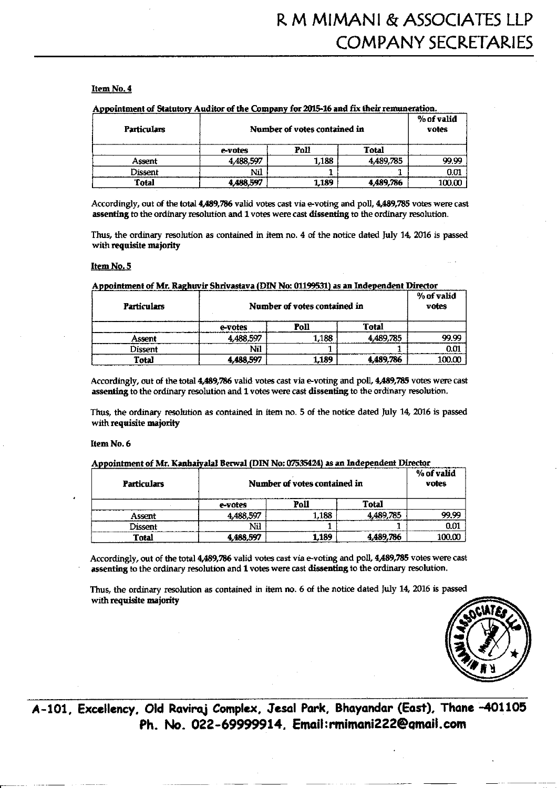#### Item No. 4

| <b>Particulars</b> |           | Number of votes contained in |           | % of valid<br>votes |
|--------------------|-----------|------------------------------|-----------|---------------------|
|                    | e-votes   | Poll                         | Total     |                     |
| Assent             | 4,488,597 | 1.188                        | 4,489,785 | 99.99               |
| Dissent            | NШ        |                              |           | 0.01                |
| <b>Total</b>       | 4.488,597 | 1,189                        | 4.489.786 | 100.00              |

 $\sim$  Continuous A in Algebra of the Convention Comparison at and Continuous interference

Accordingly, out of the total 4,489,786 valid votes cast via e-voting and poll, 4,489,785 votes were cast assenting to the ordinary resolution and 1 votes were cast dissenting to the ordinary resolution.

Thus, the ordinary resolution as contained in item no. 4 of the notice dated July 14, 2016 is passed with requisite majority

#### Item No. 5

| <b>Particulars</b> | Number of votes contained in |       |           | % of valid<br>votes |
|--------------------|------------------------------|-------|-----------|---------------------|
|                    | e-votes                      | Poll  | Total     |                     |
| Assent             | 4,488,597                    | 1,188 | 4.489.785 | 99.99               |
| Dissent            | Nil                          |       |           | 0.01                |
| Total              | 4,488,597                    | 1,189 | 4,489,786 | 100.00              |

#### naintment of Mr. Ragburic Christotaus (DIN No: 01100521) ac an Indenendent Directe

Accordingly, out of the total 4,489,786 valid votes cast via e-voting and poll, 4,489,785 votes were cast assenting to the ordinary resolution and 1 votes were cast dissenting to the ordinary resolution.

Thus, the ordinary resolution as contained in item no. 5 of the notice dated July 14, 2016 is passed with requisite majority

#### Item No. 6

#### Appointment of Mr. Kanhaiyalal Berwal (DIN No: 07535424) as an Independent Director

| <b>Particulars</b> |           | Number of votes contained in |           |        |
|--------------------|-----------|------------------------------|-----------|--------|
|                    | e-votes   | Poll                         | Total     |        |
| Assent             | 4,488,597 | .188                         | 4,489,785 | 99.99  |
| Dissent            | Nil       |                              |           | 0.01   |
| Total              | 4,488,597 | 1,189                        | 4,489,786 | 100.00 |

Accordingly, out of the total 4,489,786 valid votes cast via e-voting and poll, 4,489,785 votes were cast assenting to the ordinary resolution and 1 votes were cast dissenting to the ordinary resolution.

Thus, the ordinary resolution as contained in item no. 6 of the notice dated July 14, 2016 is passed with requisite majority



A-101, Excellency, Old Raviraj Complex, Jesal Park, Bhayandar (East), Thane -401105 Ph. No. 022-69999914. Email:rmimani222@gmail.com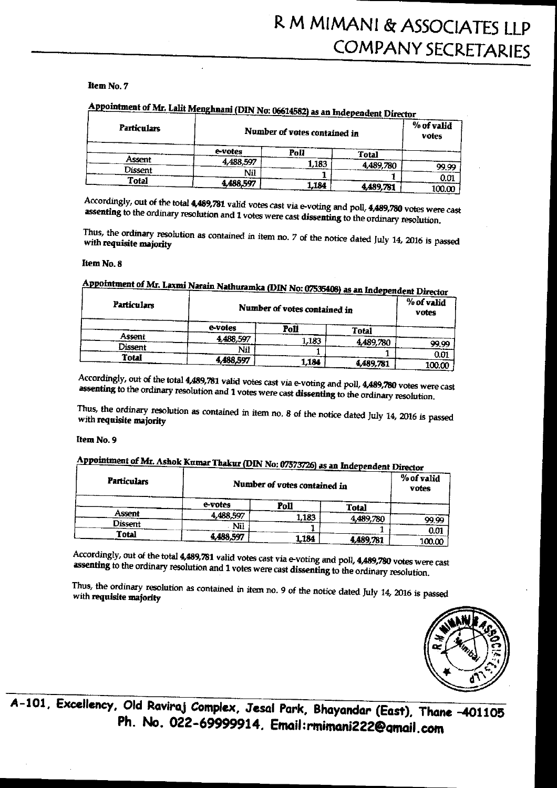#### Item No. 7

# Appointment of Mr. Lalit Menghnani (DIN No: 06614582) as an Independent Director

| <b>Particulars</b> |           | Number of votes contained in |              | $\%$ of valid<br>votes |
|--------------------|-----------|------------------------------|--------------|------------------------|
|                    | e-votes   | Poll                         | <b>Total</b> |                        |
| Assent             | 4,488,597 | 1,183                        | 4,489,780    |                        |
| Dissent            | Nil       |                              |              | 99,99                  |
| <b>Total</b>       |           |                              |              | 0.01                   |
|                    | 4,488,597 | 1,184                        | 4,489,781    | 100.00                 |

Accordingly, out of the total 4,489,781 valid votes cast via e-voting and poll, 4,489,780 votes were cast assenting to the ordinary resolution and 1 votes were cast dissenting to the ordinary resolution.

Thus, the ordinary resolution as contained in item no. 7 of the notice dated July 14, 2016 is passed with requisite majority

#### Item No. 8

| <b>Particulars</b> |           | <b><i>ANGHAMALA (D.H. 110. 07333400)</i></b> as an independent Director<br>Number of votes contained in |           | % of valid<br>votes |
|--------------------|-----------|---------------------------------------------------------------------------------------------------------|-----------|---------------------|
|                    | e-votes   | Poll                                                                                                    | Total     |                     |
| Assent             | 4,488,597 | l.183                                                                                                   | 4,489,780 |                     |
| Dissent            | Nil       |                                                                                                         |           | 99.99               |
| <b>Total</b>       |           |                                                                                                         |           | 0.01                |
|                    | 4,488,597 | 1.184                                                                                                   | 4.489.781 | 100 $\alpha$        |

## Appointment of Mr. Laxmi Narain Nathuramka (DIN No: 07535408)

Accordingly, out of the total 4,489,781 valid votes cast via e-voting and poll, 4,489,780 votes were cast assenting to the ordinary resolution and 1 votes were cast dissenting to the ordinary resolution.

Thus, the ordinary resolution as contained in item no. 8 of the notice dated July 14, 2016 is passed with requisite majority

#### Item No. 9

# Appointment of Mr. Ashok Kumar Thakur (DIN No: 07573726) as an Independent Director

| <b>Particulars</b> |           | Number of votes contained in |           | ------- ------<br>% of valid<br>votes |
|--------------------|-----------|------------------------------|-----------|---------------------------------------|
|                    | e-votes   | Poll                         | Total     |                                       |
| Assent             | 4,488,597 | 1,183                        | 4,489,780 |                                       |
| Dissent            | Nil       |                              |           | 99.99                                 |
| Total              | 4,488,597 | 1,184                        | 4,489,781 | 0.01<br>100.00                        |

Accordingly, out of the total 4,489,781 valid votes cast via e-voting and poll, 4,489,780 votes were cast assenting to the ordinary resolution and 1 votes were cast dissenting to the ordinary resolution.

Thus, the ordinary resolution as contained in item no. 9 of the notice dated July 14, 2016 is passed with requisite majority



A-101, Excellency, Old Raviraj Complex, Jesal Park, Bhayandar (East), Thane -401105 Ph. No. 022-69999914. Email:rmimani222@qmail.com